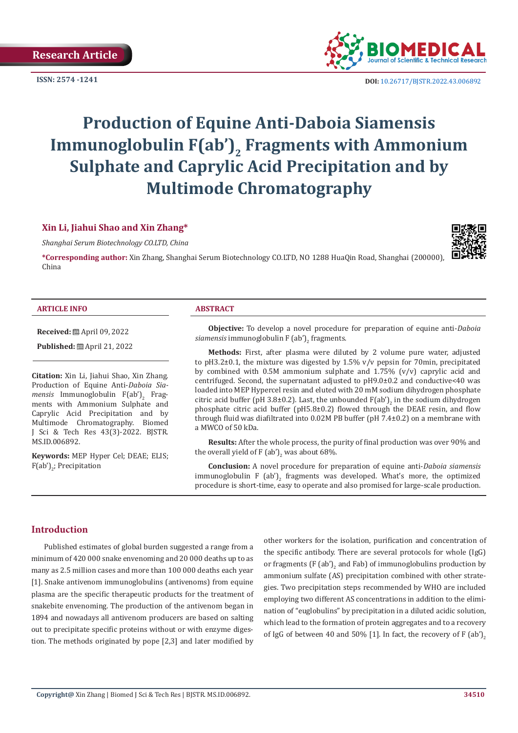

**ISSN:** 2574 -1241 **DOI:** [10.26717/BJSTR.2022.43.006892](https://dx.doi.org/10.26717/BJSTR.2022.43.006892)

# **Production of Equine Anti-Daboia Siamensis**  Immunoglobulin F(ab')<sub>2</sub> Fragments with Ammonium **Sulphate and Caprylic Acid Precipitation and by Multimode Chromatography**

### **Xin Li, Jiahui Shao and Xin Zhang\***

*Shanghai Serum Biotechnology CO.LTD, China*

**\*Corresponding author:** Xin Zhang, Shanghai Serum Biotechnology CO.LTD, NO 1288 HuaQin Road, Shanghai (200000), China

#### **ARTICLE INFO ABSTRACT**

**Received:** April 09, 2022

**Published:** ■ April 21, 2022

**Citation:** Xin Li, Jiahui Shao, Xin Zhang. Production of Equine Anti-*Daboia Siamensis* Immunoglobulin F(ab')<sub>2</sub> Fragments with Ammonium Sulphate and Caprylic Acid Precipitation and by Multimode Chromatography. Biomed J Sci & Tech Res 43(3)-2022. BJSTR. MS.ID.006892.

**Keywords:** MEP Hyper Cel; DEAE; ELIS; F(ab′)<sub>2</sub>; Precipitation

**Objective:** To develop a novel procedure for preparation of equine anti-*Daboia*   $\emph{siamensis}$  immunoglobulin F (ab')<sub>2</sub> fragments.

**Methods:** First, after plasma were diluted by 2 volume pure water, adjusted to pH3.2±0.1, the mixture was digested by 1.5% v/v pepsin for 70min, precipitated by combined with 0.5M ammonium sulphate and  $1.75\%$  (v/v) caprylic acid and centrifuged. Second, the supernatant adjusted to pH9.0±0.2 and conductive<40 was loaded into MEP Hypercel resin and eluted with 20 mM sodium dihydrogen phosphate citric acid buffer (pH 3.8±0.2). Last, the unbounded  $F(ab')_2$  in the sodium dihydrogen phosphate citric acid buffer (pH5.8±0.2) flowed through the DEAE resin, and flow through fluid was diafiltrated into 0.02M PB buffer (pH 7.4±0.2) on a membrane with a MWCO of 50 kDa.

**Results:** After the whole process, the purity of final production was over 90% and the overall yield of F (ab')<sub>2</sub> was about 68%.

**Conclusion:** A novel procedure for preparation of equine anti-*Daboia siamensis*  $\limsup$  immunoglobulin F (ab')<sub>2</sub> fragments was developed. What's more, the optimized procedure is short-time, easy to operate and also promised for large-scale production.

### **Introduction**

Published estimates of global burden suggested a range from a minimum of 420 000 snake envenoming and 20 000 deaths up to as many as 2.5 million cases and more than 100 000 deaths each year [1]. Snake antivenom immunoglobulins (antivenoms) from equine plasma are the specific therapeutic products for the treatment of snakebite envenoming. The production of the antivenom began in 1894 and nowadays all antivenom producers are based on salting out to precipitate specific proteins without or with enzyme digestion. The methods originated by pope [2,3] and later modified by

other workers for the isolation, purification and concentration of the specific antibody. There are several protocols for whole (IgG) or fragments  $(F (ab))_2$  and Fab) of immunoglobulins production by ammonium sulfate (AS) precipitation combined with other strategies. Two precipitation steps recommended by WHO are included employing two different AS concentrations in addition to the elimination of "euglobulins" by precipitation in a diluted acidic solution, which lead to the formation of protein aggregates and to a recovery of IgG of between 40 and 50% [1]. In fact, the recovery of F (ab')<sub>2</sub>

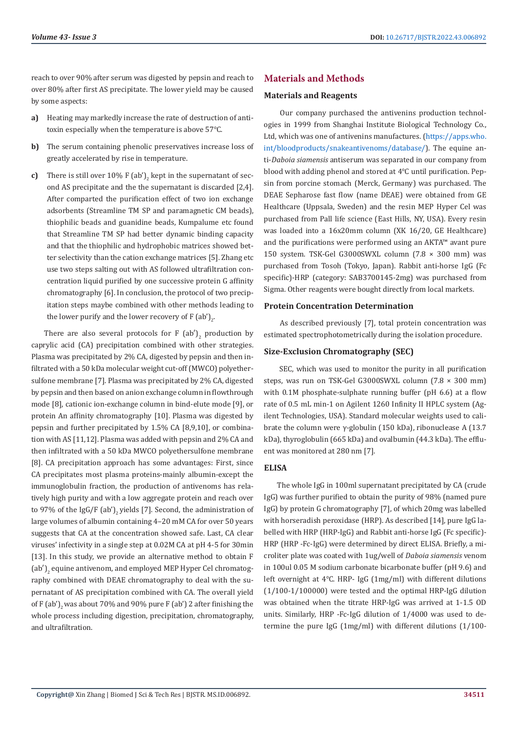reach to over 90% after serum was digested by pepsin and reach to over 80% after first AS precipitate. The lower yield may be caused by some aspects:

- **a)** Heating may markedly increase the rate of destruction of antitoxin especially when the temperature is above 57℃.
- **b)** The serum containing phenolic preservatives increase loss of greatly accelerated by rise in temperature.
- **c)** There is still over  $10\%$  F (ab')<sub>2</sub> kept in the supernatant of second AS precipitate and the the supernatant is discarded [2,4]. After comparted the purification effect of two ion exchange adsorbents (Streamline TM SP and paramagnetic CM beads), thiophilic beads and guanidine beads, Kumpalume etc found that Streamline TM SP had better dynamic binding capacity and that the thiophilic and hydrophobic matrices showed better selectivity than the cation exchange matrices [5]. Zhang etc use two steps salting out with AS followed ultrafiltration concentration liquid purified by one successive protein G affinity chromatography [6]. In conclusion, the protocol of two precipitation steps maybe combined with other methods leading to the lower purify and the lower recovery of F  $(a b')_{2'}$ .

There are also several protocols for F  $(a^b)^2$  production by caprylic acid (CA) precipitation combined with other strategies. Plasma was precipitated by 2% CA, digested by pepsin and then infiltrated with a 50 kDa molecular weight cut-off (MWCO) polyethersulfone membrane [7]. Plasma was precipitated by 2% CA, digested by pepsin and then based on anion exchange column in flowthrough mode [8], cationic ion-exchange column in bind-elute mode [9], or protein An affinity chromatography [10]. Plasma was digested by pepsin and further precipitated by 1.5% CA [8,9,10], or combination with AS [11,12]. Plasma was added with pepsin and 2% CA and then infiltrated with a 50 kDa MWCO polyethersulfone membrane [8]. CA precipitation approach has some advantages: First, since CA precipitates most plasma proteins-mainly albumin-except the immunoglobulin fraction, the production of antivenoms has relatively high purity and with a low aggregate protein and reach over to 97% of the IgG/F (ab'), yields [7]. Second, the administration of large volumes of albumin containing 4–20 mM CA for over 50 years suggests that CA at the concentration showed safe. Last, CA clear viruses' infectivity in a single step at 0.02M CA at pH 4-5 for 30min [13]. In this study, we provide an alternative method to obtain F (ab')<sub>2</sub> equine antivenom, and employed MEP Hyper Cel chromatography combined with DEAE chromatography to deal with the supernatant of AS precipitation combined with CA. The overall yield of F (ab')<sub>2</sub> was about 70% and 90% pure F (ab') 2 after finishing the whole process including digestion, precipitation, chromatography, and ultrafiltration.

# **Materials and Methods**

### **Materials and Reagents**

 Our company purchased the antivenins production technologies in 1999 from Shanghai Institute Biological Technology Co., Ltd, which was one of antivenins manufactures. ([https://apps.who.](https://apps.who.int/bloodproducts/snakeantivenoms/database/) [int/bloodproducts/snakeantivenoms/database/](https://apps.who.int/bloodproducts/snakeantivenoms/database/)). The equine anti-*Daboia siamensis* antiserum was separated in our company from blood with adding phenol and stored at 4℃ until purification. Pepsin from porcine stomach (Merck, Germany) was purchased. The DEAE Sepharose fast flow (name DEAE) were obtained from GE Healthcare (Uppsala, Sweden) and the resin MEP Hyper Cel was purchased from Pall life science (East Hills, NY, USA). Every resin was loaded into a 16x20mm column (XK 16/20, GE Healthcare) and the purifications were performed using an AKTA™ avant pure 150 system. TSK-Gel G3000SWXL column (7.8 × 300 mm) was purchased from Tosoh (Tokyo, Japan). Rabbit anti-horse IgG (Fc specific)-HRP (category: SAB3700145-2mg) was purchased from Sigma. Other reagents were bought directly from local markets.

### **Protein Concentration Determination**

 As described previously [7], total protein concentration was estimated spectrophotometrically during the isolation procedure.

# **Size-Exclusion Chromatography (SEC)**

 SEC, which was used to monitor the purity in all purification steps, was run on TSK-Gel G3000SWXL column (7.8 × 300 mm) with 0.1M phosphate-sulphate running buffer (pH 6.6) at a flow rate of 0.5 mL min-1 on Agilent 1260 Infinity II HPLC system (Agilent Technologies, USA). Standard molecular weights used to calibrate the column were γ-globulin (150 kDa), ribonuclease A (13.7 kDa), thyroglobulin (665 kDa) and ovalbumin (44.3 kDa). The effluent was monitored at 280 nm [7].

# **ELISA**

The whole IgG in 100ml supernatant precipitated by CA (crude IgG) was further purified to obtain the purity of 98% (named pure IgG) by protein G chromatography [7], of which 20mg was labelled with horseradish peroxidase (HRP). As described [14], pure IgG labelled with HRP (HRP-IgG) and Rabbit anti-horse IgG (Fc specific)- HRP (HRP -Fc-IgG) were determined by direct ELISA. Briefly, a microliter plate was coated with 1ug/well of *Daboia siamensis* venom in 100ul 0.05 M sodium carbonate bicarbonate buffer (pH 9.6) and left overnight at 4℃. HRP- IgG (1mg/ml) with different dilutions (1/100-1/100000) were tested and the optimal HRP-IgG dilution was obtained when the titrate HRP-IgG was arrived at 1-1.5 OD units. Similarly, HRP -Fc-IgG dilution of 1/4000 was used to determine the pure IgG (1mg/ml) with different dilutions (1/100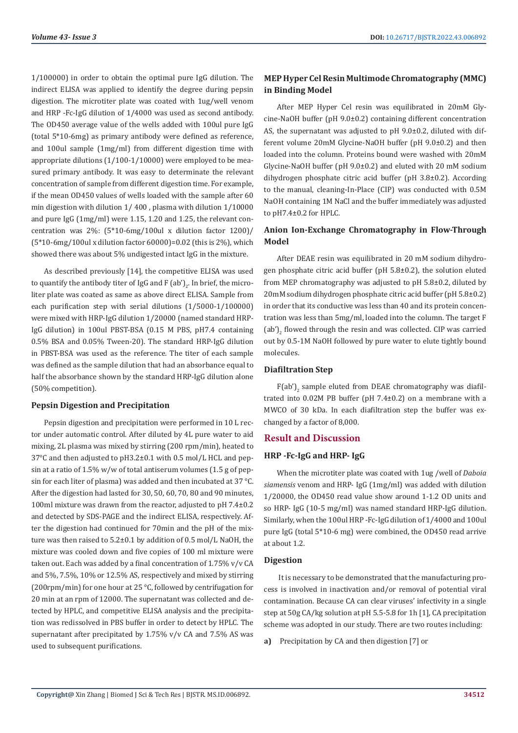1/100000) in order to obtain the optimal pure IgG dilution. The indirect ELISA was applied to identify the degree during pepsin digestion. The microtiter plate was coated with 1ug/well venom and HRP -Fc-IgG dilution of 1/4000 was used as second antibody. The OD450 average value of the wells added with 100ul pure IgG (total 5\*10-6mg) as primary antibody were defined as reference, and 100ul sample (1mg/ml) from different digestion time with appropriate dilutions (1/100-1/10000) were employed to be measured primary antibody. It was easy to determinate the relevant concentration of sample from different digestion time. For example, if the mean OD450 values of wells loaded with the sample after 60 min digestion with dilution 1/ 400 , plasma with dilution 1/10000 and pure IgG (1mg/ml) were 1.15, 1.20 and 1.25, the relevant concentration was 2%: (5\*10-6mg/100ul x dilution factor 1200)/ (5\*10-6mg/100ul x dilution factor 60000)=0.02 (this is 2%), which showed there was about 5% undigested intact IgG in the mixture.

As described previously [14], the competitive ELISA was used to quantify the antibody titer of IgG and F (ab')<sub>2</sub>. In brief, the microliter plate was coated as same as above direct ELISA. Sample from each purification step with serial dilutions (1/5000-1/100000) were mixed with HRP-IgG dilution 1/20000 (named standard HRP-IgG dilution) in 100ul PBST-BSA (0.15 M PBS, pH7.4 containing 0.5% BSA and 0.05% Tween-20). The standard HRP-IgG dilution in PBST-BSA was used as the reference. The titer of each sample was defined as the sample dilution that had an absorbance equal to half the absorbance shown by the standard HRP-IgG dilution alone (50% competition).

### **Pepsin Digestion and Precipitation**

Pepsin digestion and precipitation were performed in 10 L rector under automatic control. After diluted by 4L pure water to aid mixing, 2L plasma was mixed by stirring (200 rpm/min), heated to 37°C and then adjusted to pH3.2±0.1 with 0.5 mol/L HCL and pepsin at a ratio of 1.5% w/w of total antiserum volumes (1.5 g of pepsin for each liter of plasma) was added and then incubated at 37 °C. After the digestion had lasted for 30, 50, 60, 70, 80 and 90 minutes, 100ml mixture was drawn from the reactor, adjusted to pH 7.4±0.2 and detected by SDS-PAGE and the indirect ELISA, respectively. After the digestion had continued for 70min and the pH of the mixture was then raised to 5.2±0.1 by addition of 0.5 mol/L NaOH, the mixture was cooled down and five copies of 100 ml mixture were taken out. Each was added by a final concentration of 1.75% v/v CA and 5%, 7.5%, 10% or 12.5% AS, respectively and mixed by stirring (200rpm/min) for one hour at 25 °C, followed by centrifugation for 20 min at an rpm of 12000. The supernatant was collected and detected by HPLC, and competitive ELISA analysis and the precipitation was redissolved in PBS buffer in order to detect by HPLC. The supernatant after precipitated by 1.75% v/v CA and 7.5% AS was used to subsequent purifications.

# **MEP Hyper Cel Resin Multimode Chromatography (MMC) in Binding Model**

After MEP Hyper Cel resin was equilibrated in 20mM Glycine-NaOH buffer (pH 9.0±0.2) containing different concentration AS, the supernatant was adjusted to pH 9.0±0.2, diluted with different volume 20mM Glycine-NaOH buffer (pH 9.0±0.2) and then loaded into the column. Proteins bound were washed with 20mM Glycine-NaOH buffer (pH 9.0±0.2) and eluted with 20 mM sodium dihydrogen phosphate citric acid buffer (pH 3.8±0.2). According to the manual, cleaning-In-Place (CIP) was conducted with 0.5M NaOH containing 1M NaCl and the buffer immediately was adjusted to pH7.4±0.2 for HPLC.

# **Anion Ion-Exchange Chromatography in Flow-Through Model**

After DEAE resin was equilibrated in 20 mM sodium dihydrogen phosphate citric acid buffer (pH 5.8±0.2), the solution eluted from MEP chromatography was adjusted to pH 5.8±0.2, diluted by 20mM sodium dihydrogen phosphate citric acid buffer (pH 5.8±0.2) in order that its conductive was less than 40 and its protein concentration was less than 5mg/ml, loaded into the column. The target F (ab')<sub>2</sub> flowed through the resin and was collected. CIP was carried out by 0.5-1M NaOH followed by pure water to elute tightly bound molecules.

#### **Diafiltration Step**

 $F(ab')$ <sub>2</sub> sample eluted from DEAE chromatography was diafiltrated into 0.02M PB buffer (pH 7.4±0.2) on a membrane with a MWCO of 30 kDa. In each diafiltration step the buffer was exchanged by a factor of 8,000.

#### **Result and Discussion**

#### **HRP -Fc-IgG and HRP- IgG**

When the microtiter plate was coated with 1ug /well of *Daboia siamensis* venom and HRP- IgG (1mg/ml) was added with dilution 1/20000, the OD450 read value show around 1-1.2 OD units and so HRP- IgG (10-5 mg/ml) was named standard HRP-IgG dilution. Similarly, when the 100ul HRP -Fc-IgG dilution of 1/4000 and 100ul pure IgG (total 5\*10-6 mg) were combined, the OD450 read arrive at about 1.2.

#### **Digestion**

 It is necessary to be demonstrated that the manufacturing process is involved in inactivation and/or removal of potential viral contamination. Because CA can clear viruses' infectivity in a single step at 50g CA/kg solution at pH 5.5-5.8 for 1h [1], CA precipitation scheme was adopted in our study. There are two routes including:

**a)** Precipitation by CA and then digestion [7] or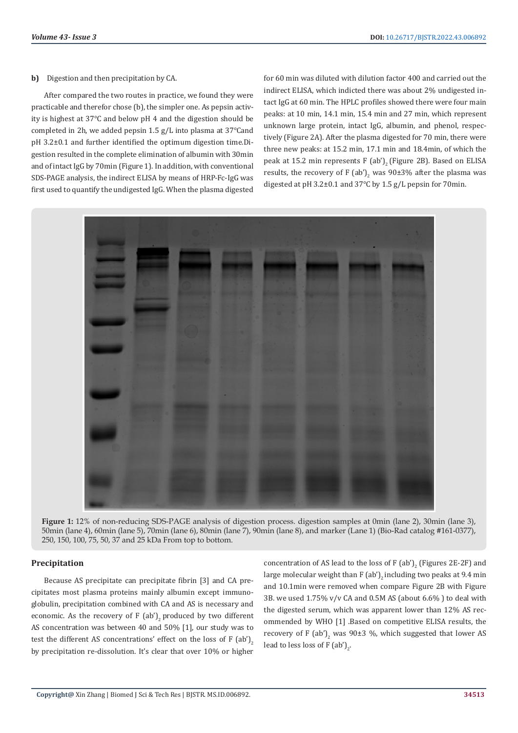#### **b)** Digestion and then precipitation by CA.

After compared the two routes in practice, we found they were practicable and therefor chose (b), the simpler one. As pepsin activity is highest at 37℃ and below pH 4 and the digestion should be completed in 2h, we added pepsin 1.5 g/L into plasma at 37℃and pH 3.2±0.1 and further identified the optimum digestion time.Digestion resulted in the complete elimination of albumin with 30min and of intact IgG by 70min (Figure 1). In addition, with conventional SDS-PAGE analysis, the indirect ELISA by means of HRP-Fc-IgG was first used to quantify the undigested IgG. When the plasma digested

for 60 min was diluted with dilution factor 400 and carried out the indirect ELISA, which indicted there was about 2% undigested intact IgG at 60 min. The HPLC profiles showed there were four main peaks: at 10 min, 14.1 min, 15.4 min and 27 min, which represent unknown large protein, intact IgG, albumin, and phenol, respectively (Figure 2A). After the plasma digested for 70 min, there were three new peaks: at 15.2 min, 17.1 min and 18.4min, of which the peak at 15.2 min represents F (ab')<sub>2</sub> (Figure 2B). Based on ELISA results, the recovery of F (ab')<sub>2</sub> was 90±3% after the plasma was digested at pH 3.2±0.1 and 37℃ by 1.5 g/L pepsin for 70min.



**Figure 1:** 12% of non-reducing SDS-PAGE analysis of digestion process. digestion samples at 0min (lane 2), 30min (lane 3), 50min (lane 4), 60min (lane 5), 70min (lane 6), 80min (lane 7), 90min (lane 8), and marker (Lane 1) (Bio-Rad catalog #161-0377), 250, 150, 100, 75, 50, 37 and 25 kDa From top to bottom.

### **Precipitation**

Because AS precipitate can precipitate fibrin [3] and CA precipitates most plasma proteins mainly albumin except immunoglobulin, precipitation combined with CA and AS is necessary and economic. As the recovery of  $F$  (ab')<sub>2</sub> produced by two different AS concentration was between 40 and 50% [1], our study was to test the different AS concentrations' effect on the loss of  $F$  (ab')<sub>2</sub> by precipitation re-dissolution. It's clear that over 10% or higher

concentration of AS lead to the loss of F  $(a^i)_2$  (Figures 2E-2F) and large molecular weight than F (ab')<sub>2</sub> including two peaks at 9.4 min and 10.1min were removed when compare Figure 2B with Figure 3B. we used  $1.75\%$  v/v CA and 0.5M AS (about 6.6%) to deal with the digested serum, which was apparent lower than 12% AS recommended by WHO [1] .Based on competitive ELISA results, the recovery of F (ab')<sub>2</sub> was 90±3 %, which suggested that lower AS lead to less loss of F  $(ab')_2$ .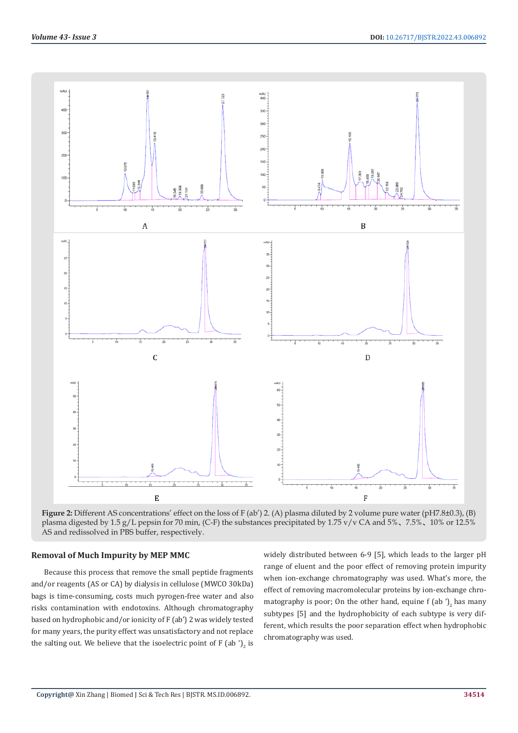

**Figure 2:** Different AS concentrations' effect on the loss of F (ab') 2. (A) plasma diluted by 2 volume pure water (pH7.8±0.3), (B) plasma digested by 1.5 g/L pepsin for 70 min, (C-F) the substances precipitated by 1.75 v/v CA and 5%、7.5%、10% or 12.5% AS and redissolved in PBS buffer, respectively.

#### **Removal of Much Impurity by MEP MMC**

Because this process that remove the small peptide fragments and/or reagents (AS or CA) by dialysis in cellulose (MWCO 30kDa) bags is time-consuming, costs much pyrogen-free water and also risks contamination with endotoxins. Although chromatography based on hydrophobic and/or ionicity of F (ab') 2 was widely tested for many years, the purity effect was unsatisfactory and not replace the salting out. We believe that the isoelectric point of F (ab  $\mathcal{F}_2$  is widely distributed between 6-9 [5], which leads to the larger pH range of eluent and the poor effect of removing protein impurity when ion-exchange chromatography was used. What's more, the effect of removing macromolecular proteins by ion-exchange chromatography is poor; On the other hand, equine  $f$  (ab  $\eta$ , has many subtypes [5] and the hydrophobicity of each subtype is very different, which results the poor separation effect when hydrophobic chromatography was used.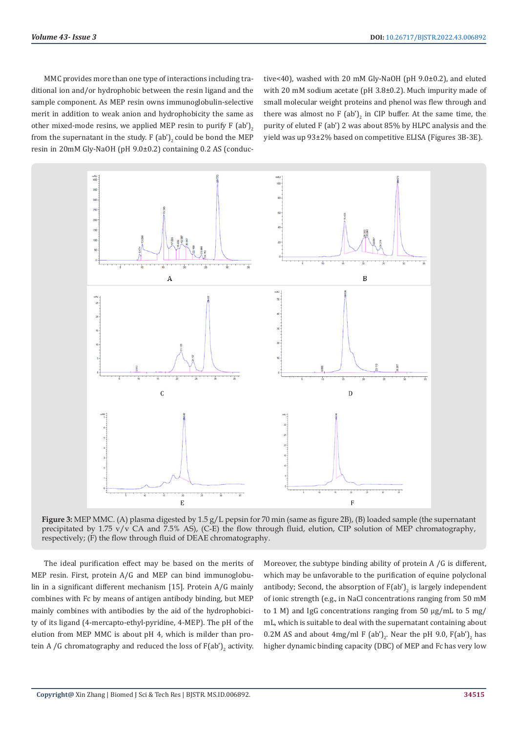MMC provides more than one type of interactions including traditional ion and/or hydrophobic between the resin ligand and the sample component. As MEP resin owns immunoglobulin-selective merit in addition to weak anion and hydrophobicity the same as other mixed-mode resins, we applied MEP resin to purify  $F$  (ab')<sub>2</sub> from the supernatant in the study. F  $(ab')_2$  could be bond the MEP resin in 20mM Gly-NaOH (pH 9.0±0.2) containing 0.2 AS (conductive<40), washed with 20 mM Gly-NaOH (pH 9.0±0.2), and eluted with 20 mM sodium acetate (pH 3.8±0.2). Much impurity made of small molecular weight proteins and phenol was flew through and there was almost no F  $(a b')_2$  in CIP buffer. At the same time, the purity of eluted F (ab') 2 was about 85% by HLPC analysis and the yield was up 93±2% based on competitive ELISA (Figures 3B-3E).



**Figure 3:** MEP MMC. (A) plasma digested by 1.5 g/L pepsin for 70 min (same as figure 2B), (B) loaded sample (the supernatant precipitated by 1.75  $v/v$  CA and 7.5% AS), (C-E) the flow through fluid, elution, CIP solution of MEP chromatography, respectively; (F) the flow through fluid of DEAE chromatography.

The ideal purification effect may be based on the merits of MEP resin. First, protein A/G and MEP can bind immunoglobulin in a significant different mechanism [15]. Protein A/G mainly combines with Fc by means of antigen antibody binding, but MEP mainly combines with antibodies by the aid of the hydrophobicity of its ligand (4-mercapto-ethyl-pyridine, 4-MEP). The pH of the elution from MEP MMC is about pH 4, which is milder than protein A /G chromatography and reduced the loss of  $F(ab')_2$  activity. Moreover, the subtype binding ability of protein A /G is different, which may be unfavorable to the purification of equine polyclonal antibody; Second, the absorption of  $F(ab')_2$  is largely independent of ionic strength (e.g., in NaCl concentrations ranging from 50 mM to 1 M) and IgG concentrations ranging from 50 μg/mL to 5 mg/ mL, which is suitable to deal with the supernatant containing about  $0.2M$  AS and about 4mg/ml F (ab')<sub>2</sub>. Near the pH 9.0, F(ab')<sub>2</sub> has higher dynamic binding capacity (DBC) of MEP and Fc has very low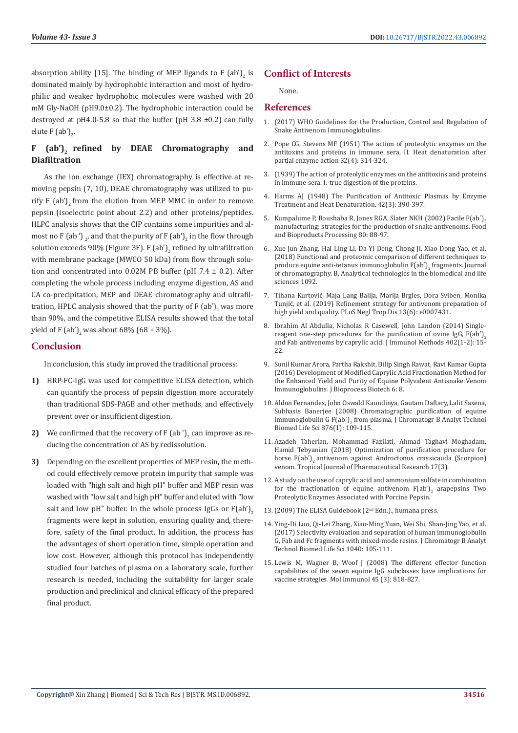absorption ability [15]. The binding of MEP ligands to F  $(a b')_2$  is dominated mainly by hydrophobic interaction and most of hydrophilic and weaker hydrophobic molecules were washed with 20 mM Gly-NaOH (pH9.0±0.2). The hydrophobic interaction could be destroyed at pH4.0-5.8 so that the buffer (pH 3.8  $\pm$ 0.2) can fully elute F  $(ab')_2$ .

# **F (ab')2 refined by DEAE Chromatography and Diafiltration**

As the ion exchange (IEX) chromatography is effective at removing pepsin (7, 10), DEAE chromatography was utilized to purify  $F$  (ab')<sub>2</sub> from the elution from MEP MMC in order to remove pepsin (isoelectric point about 2.2) and other proteins/peptides. HLPC analysis shows that the CIP contains some impurities and almost no F (ab ')  $_2$ , and that the purity of F (ab') $_2$  in the flow through solution exceeds 90% (Figure 3F). F (ab')<sub>2</sub> refined by ultrafiltration with membrane package (MWCO 50 kDa) from flow through solution and concentrated into  $0.02M$  PB buffer (pH 7.4  $\pm$  0.2). After completing the whole process including enzyme digestion, AS and CA co-precipitation, MEP and DEAE chromatography and ultrafiltration, HPLC analysis showed that the purity of F (ab')<sub>2</sub> was more than 90%, and the competitive ELISA results showed that the total yield of F  $(a b')_2$  was about 68% (68 + 3%).

# **Conclusion**

In conclusion, this study improved the traditional process:

- **1)** HRP-FC-IgG was used for competitive ELISA detection, which can quantify the process of pepsin digestion more accurately than traditional SDS-PAGE and other methods, and effectively prevent over or insufficient digestion.
- **2)** We confirmed that the recovery of  $F$  (ab  $\prime$ )<sub>2</sub> can improve as reducing the concentration of AS by redissolution.
- **3)** Depending on the excellent properties of MEP resin, the method could effectively remove protein impurity that sample was loaded with "high salt and high pH" buffer and MEP resin was washed with "low salt and high pH" buffer and eluted with "low salt and low pH" buffer. In the whole process IgGs or  $F(ab')$ , fragments were kept in solution, ensuring quality and, therefore, safety of the final product. In addition, the process has the advantages of short operation time, simple operation and low cost. However, although this protocol has independently studied four batches of plasma on a laboratory scale, further research is needed, including the suitability for larger scale production and preclinical and clinical efficacy of the prepared final product.

# **Conflict of Interests**

None.

**References**

- 1. (2017) WHO Guidelines for the Production, Control and Regulation of Snake Antivenom Immunoglobulins.
- 2. [Pope CG, Stevens MF \(1951\) The action of proteolytic enzymes on the](https://www.ncbi.nlm.nih.gov/pmc/articles/PMC2073158/) [antitoxins and proteins in immune sera. II. Heat denaturation after](https://www.ncbi.nlm.nih.gov/pmc/articles/PMC2073158/) [partial enzyme action 32\(4\): 314-324.](https://www.ncbi.nlm.nih.gov/pmc/articles/PMC2073158/)
- 3. [\(1939\) The action of proteolytic enzymes on the antitoxins and proteins](https://www.ncbi.nlm.nih.gov/pmc/articles/PMC2065301/pdf/brjexppathol00194-0025.pdf) [in immune sera. I.-true digestion of the proteins.](https://www.ncbi.nlm.nih.gov/pmc/articles/PMC2065301/pdf/brjexppathol00194-0025.pdf)
- 4. [Harms AJ \(1948\) The Purification of Antitoxic Plasmas by Enzyme](https://pubmed.ncbi.nlm.nih.gov/16748299/) [Treatment and Heat Denaturation. 42\(3\): 390-397.](https://pubmed.ncbi.nlm.nih.gov/16748299/)
- 5. Kumpalume P, Boushaba R, Jones RGA, Slater NKH (2002) Facile F(ab')<sub>2</sub> [manufacturing: strategies for the production of snake antivenoms. Food](https://www.researchgate.net/publication/224906533_Facile_Fab) [and Bioproducts Processing 80: 88-97.](https://www.researchgate.net/publication/224906533_Facile_Fab)
- 6. [Xue Jun Zhang, Hai Ling Li, Da Yi Deng, Chong Ji, Xiao Dong Yao, et al.](https://www.researchgate.net/publication/325421665_Functional_and_proteomic_comparison_of_different_techniques_to_produce_equine_anti-tetanus_immunoglobulin_Fab) [\(2018\) Functional and proteomic comparison of different techniques to](https://www.researchgate.net/publication/325421665_Functional_and_proteomic_comparison_of_different_techniques_to_produce_equine_anti-tetanus_immunoglobulin_Fab) produce equine anti-tetanus immunoglobulin  $F(ab')_2$  fragments. Journal [of chromatography. B, Analytical technologies in the biomedical and life](https://www.researchgate.net/publication/325421665_Functional_and_proteomic_comparison_of_different_techniques_to_produce_equine_anti-tetanus_immunoglobulin_Fab) [sciences 1092.](https://www.researchgate.net/publication/325421665_Functional_and_proteomic_comparison_of_different_techniques_to_produce_equine_anti-tetanus_immunoglobulin_Fab)
- 7. Tihana Kurtović[, Maja Lang Balija, Marija Brgles, Dora Sviben, Monika](https://pubmed.ncbi.nlm.nih.gov/31206512/) Tunjić[, et al. \(2019\) Refinement strategy for antivenom preparation of](https://pubmed.ncbi.nlm.nih.gov/31206512/) [high yield and quality. PLoS Negl Trop Dis 13\(6\): e0007431.](https://pubmed.ncbi.nlm.nih.gov/31206512/)
- 8. [Ibrahim Al Abdulla, Nicholas R Casewell, John Landon \(2014\) Single](https://pubmed.ncbi.nlm.nih.gov/24246428/)reagent one-step procedures for the purification of ovine IgG,  $F(ab')$ <sub>2</sub> [and Fab antivenoms by caprylic acid. J Immunol Methods 402\(1-2\): 15-](https://pubmed.ncbi.nlm.nih.gov/24246428/) [22.](https://pubmed.ncbi.nlm.nih.gov/24246428/)
- 9. [Sunil Kumar Arora, Partha Rakshit, Dilip Singh Rawat, Ravi Kumar Gupta](https://www.hilarispublisher.com/open-access/development-of-modified-caprylic-acid-fractionation-method-for-theenhanced-yield-and-purity-of-equine-polyvalent-antisnake-venomim-2155-9821-1000288.pdf) [\(2016\) Development of Modified Caprylic Acid Fractionation Method for](https://www.hilarispublisher.com/open-access/development-of-modified-caprylic-acid-fractionation-method-for-theenhanced-yield-and-purity-of-equine-polyvalent-antisnake-venomim-2155-9821-1000288.pdf) [the Enhanced Yield and Purity of Equine Polyvalent Antisnake Venom](https://www.hilarispublisher.com/open-access/development-of-modified-caprylic-acid-fractionation-method-for-theenhanced-yield-and-purity-of-equine-polyvalent-antisnake-venomim-2155-9821-1000288.pdf) [Immunoglobulins. J Bioprocess Biotech 6: 8.](https://www.hilarispublisher.com/open-access/development-of-modified-caprylic-acid-fractionation-method-for-theenhanced-yield-and-purity-of-equine-polyvalent-antisnake-venomim-2155-9821-1000288.pdf)
- 10. [Aldon Fernandes, John Oswald Kaundinya, Gautam Daftary, Lalit Saxena,](https://pubmed.ncbi.nlm.nih.gov/19008160/) [Subhasis Banerjee \(2008\) Chromatographic purification of equine](https://pubmed.ncbi.nlm.nih.gov/19008160/) immunoglobulin G F(ab')<sub>2</sub> [from plasma, J Chromatogr B Analyt Technol](https://pubmed.ncbi.nlm.nih.gov/19008160/) [Biomed Life Sci 876\(1\): 109-115.](https://pubmed.ncbi.nlm.nih.gov/19008160/)
- 11. [Azadeh Taherian, Mohammad Fazilati, Ahmad Taghavi Moghadam,](https://www.ajol.info/index.php/tjpr/article/view/170750) [Hamid Tebyanian \(2018\) Optimization of purification procedure for](https://www.ajol.info/index.php/tjpr/article/view/170750) horse F(ab<sup>'</sup>)<sub>2</sub> antivenom against Androctonus crassicauda (Scorpion) [venom. Tropical Journal of Pharmaceutical Research 17\(3\).](https://www.ajol.info/index.php/tjpr/article/view/170750)
- 12. A study on the use of caprylic acid and ammonium sulfate in combination for the fractionation of equine antivenom  $F(ab)$ <sub>2</sub> arapepsins Two Proteolytic Enzymes Associated with Porcine Pepsin.
- 13.[\(2009\) The ELISA Guidebook \(2](https://link.springer.com/book/10.1007/978-1-60327-254-4)nd Edn.)., humana press.
- 14. [Ying-Di Luo, Qi-Lei Zhang, Xiao-Ming Yuan, Wei Shi, Shan-Jing Yao, et al.](https://pubmed.ncbi.nlm.nih.gov/27978464/) [\(2017\) Selectivity evaluation and separation of human immunoglobulin](https://pubmed.ncbi.nlm.nih.gov/27978464/) [G, Fab and Fc fragments with mixed-mode resins. J Chromatogr B Analyt](https://pubmed.ncbi.nlm.nih.gov/27978464/) [Technol Biomed Life Sci 1040: 105-111.](https://pubmed.ncbi.nlm.nih.gov/27978464/)
- 15. [Lewis M, Wagner B, Woof J \(2008\) The different effector function](https://pubmed.ncbi.nlm.nih.gov/17669496/) [capabilities of the seven equine IgG subclasses have implications for](https://pubmed.ncbi.nlm.nih.gov/17669496/) [vaccine strategies. Mol Immunol 45 \(3\): 818-827.](https://pubmed.ncbi.nlm.nih.gov/17669496/)